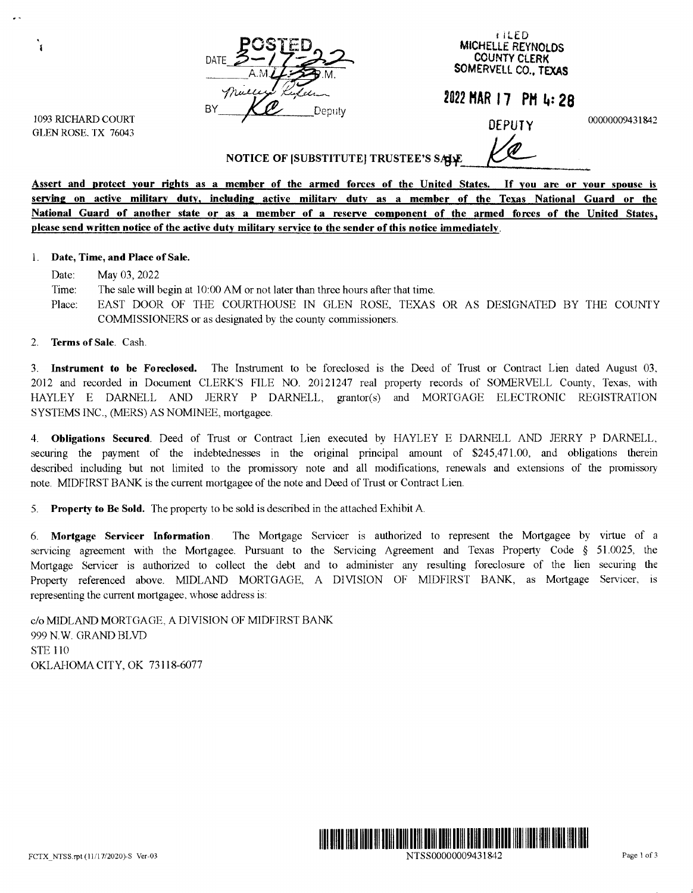1093 RICHARD COURT **1093 RICHARD COURT 1093 RICHARD COURT 1093** RICHARD COURT 1093 RICHARD COURT 10000009431842

*<sup>t</sup>*lltD **MICHELLE REYNOLDS COUNTY CLERK SOMERVELL CO., TEXAS** 

**2022 HAR 17 PM 4: 28** 

**NOTICE OF [SUBSTITUTE] TRUSTEE'S SALLE** 

**Assert and protect your rights as a member of the armed forces of the United States. If you are or your spouse is senring on active military duty, including active military duty as a member of the Texas National Guard or the National Guard of another state or as a member of a resenre component of the armed forces of the United States, please send written notice of the active duty military service to the sender of this notice immediately.** 

### 1. **Date, Time, and Place of Sale.**

Date: May 03, 2022

Time: The sale will begin at 10:00 AM or not later than three hours after that time.

Place: EAST DOOR OF THE COURTHOUSE IN GLEN ROSE, TEXAS OR AS DESIGNATED BY THE COUNTY COMMISSIONERS or as designated by the county commissioners.

### 2. **Terms of Sale.** Cash.

1093 RICHARD COURT

Î

3. **Instrument to be Foreclosed.** The Instrument to be foreclosed is the Deed of Trust or Contract Lien dated August 03. 2012 and recorded in Document CLERK'S FILE NO. 20121247 real property records of SOMERVELL County, Texas, with HAYLEY E DARNELL AND JERRY P DARNELL, grantor(s) and MORTGAGE ELECTRONIC REGISTRATION SYSTEMS INC., (MERS) AS NOMINEE, mortgagee.

4. **Obligations Secured.** Deed of Trust or Contract Lien executed by HAYLEY E DARNELL AND JERRY P DARNELL. securing the payment of the indebtednesses in the original principal amount of \$245,471.00, and obligations therein described including but not limited to the promissory note and all modifications, renewals and extensions of the promissory note. MIDFIRST BANK is the current mortgagee of the note and Deed of Trust or Contract Lien.

5. **Property to Be Sold.** The property to be sold is described in the attached Exhibit A

6. **Mortgage Servicer Information.** The Mortgage Servicer is authorized to represent the Mortgagee by virtue of a servicing agreement with the Mortgagee. Pursuant to the Servicing Agreement and Texas Property Code § 51.0025, the Mortgage Servicer is authorized to collect the debt and to administer any resulting foreclosure of the lien secunng the Property referenced above. MIDLAND MORTGAGE, A DIVISION OF MIDFIRST BANK, as Mortgage Servicer, is representing the current mortgagee. whose address is:

c/o MIDLAND MORTGAGE. A DIVISION OF MIDFIRST BANK 999 N.W. GRAND BLVD STE 110 OKLAHOMA CITY, OK 73118-6077

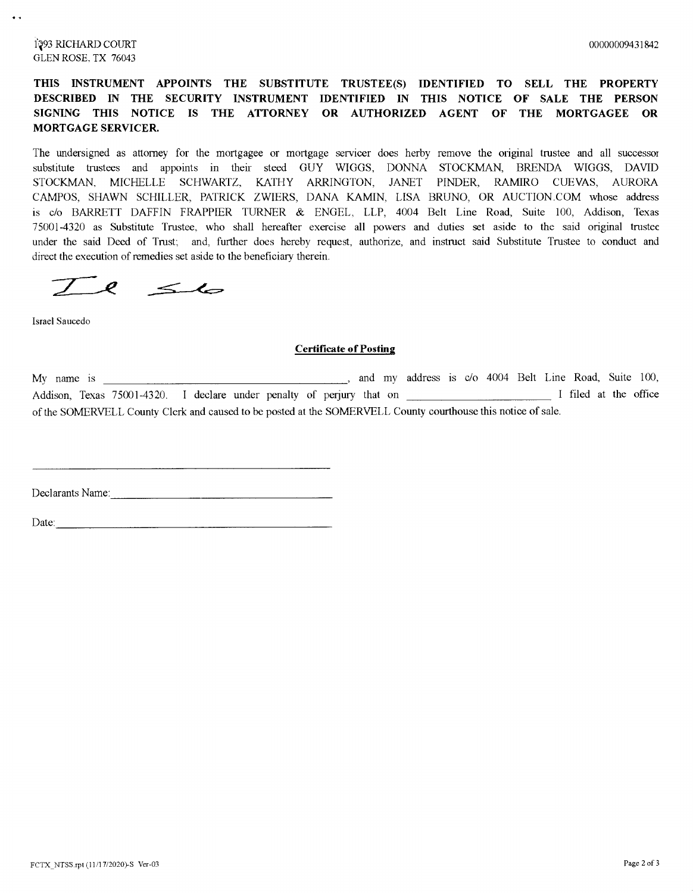## 1093 RICHARD COURT GLEN ROSE. TX 76043

# **THIS INSTRUMENT APPOINTS THE SUBSTITUTE TRUSTEE(S) IDENTIFIED TO SELL THE PROPERTY DESCRIBED IN THE SECURITY INSTRUMENT IDENTIFIED IN THIS NOTICE OF SALE THE PERSON SIGNING THIS NOTICE IS THE ATTORNEY OR AUTHORIZED AGENT OF THE MORTGAGEE OR MORTGAGE SERVICER.**

The undersigned as attorney for the mortgagee or mortgage servicer does herby remove the original trustee and all successor substitute trustees and appoints in their steed GUY WIGGS, DONNA STOCKMAN, BRENDA WIGGS, DAVID STOCKMAN. MICHELLE SCHWARTZ, KATHY ARRINGTON, JANET PINDER, RAMIRO CUEVAS, AURORA CAMPOS, SHAWN SCHILLER, PATRICK ZWIERS, DANA KAMIN, LISA BRUNO, OR AUCTION.COM whose address is c/o BARRETT DAFFIN FRAPPIER TURNER & ENGEL. LLP, 4004 Belt Line Road, Suite 100, Addison, Texas 75001-4320 as Substitute Trustee, who shall hereafter exercise all powers and duties set aside to the said original trustee under the said Deed of Trust: and, further does hereby request, authorize, and instruct said Substitute Trustee to conduct and direct the execution of remedies set aside to the beneficiary therein.

 $e$   $\leq$  10

Israel Saucedo

### **Certificate of Posting**

My name is <br>and my address is c/o 4004 Belt Line Road, Suite 100, Addison, Texas 75001-4320. I declare under penalty of perjury that on I filed at the office of the SOMERVELL County Clerk and caused to be posted at the SOMERVELL County courthouse this notice of sale.

Declarants Name: \_\_\_\_\_\_\_\_\_\_\_\_\_\_\_\_ \_

| T.    |         |             |      |
|-------|---------|-------------|------|
| Date∶ | _______ | ___________ | ---- |